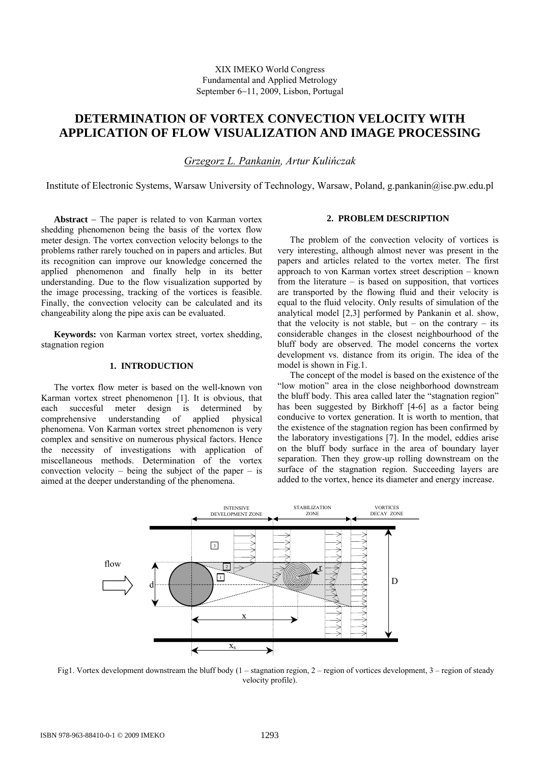# **DETERMINATION OF VORTEX CONVECTION VELOCITY WITH APPLICATION OF FLOW VISUALIZATION AND IMAGE PROCESSING**

*Grzegorz L. Pankanin, Artur Kulińczak* 

Institute of Electronic Systems, Warsaw University of Technology, Warsaw, Poland, g.pankanin@ise.pw.edu.pl

**Abstract** − The paper is related to von Karman vortex shedding phenomenon being the basis of the vortex flow meter design. The vortex convection velocity belongs to the problems rather rarely touched on in papers and articles. But its recognition can improve our knowledge concerned the applied phenomenon and finally help in its better understanding. Due to the flow visualization supported by the image processing, tracking of the vortices is feasible. Finally, the convection velocity can be calculated and its changeability along the pipe axis can be evaluated.

**Keywords:** von Karman vortex street, vortex shedding, stagnation region

## **1. INTRODUCTION**

The vortex flow meter is based on the well-known von Karman vortex street phenomenon [1]. It is obvious, that each succesful meter design is determined by comprehensive understanding of applied physical phenomena. Von Karman vortex street phenomenon is very complex and sensitive on numerous physical factors. Hence the necessity of investigations with application of miscellaneous methods. Determination of the vortex convection velocity – being the subject of the paper – is aimed at the deeper understanding of the phenomena.

## **2. PROBLEM DESCRIPTION**

The problem of the convection velocity of vortices is very interesting, although almost never was present in the papers and articles related to the vortex meter. The first approach to von Karman vortex street description – known from the literature  $-$  is based on supposition, that vortices are transported by the flowing fluid and their velocity is equal to the fluid velocity. Only results of simulation of the analytical model [2,3] performed by Pankanin et al. show, that the velocity is not stable, but – on the contrary – its considerable changes in the closest neighbourhood of the bluff body are observed. The model concerns the vortex development vs. distance from its origin. The idea of the model is shown in Fig.1.

The concept of the model is based on the existence of the "low motion" area in the close neighborhood downstream the bluff body. This area called later the "stagnation region" has been suggested by Birkhoff [4-6] as a factor being conducive to vortex generation. It is worth to mention, that the existence of the stagnation region has been confirmed by the laboratory investigations [7]. In the model, eddies arise on the bluff body surface in the area of boundary layer separation. Then they grow-up rolling downstream on the surface of the stagnation region. Succeeding layers are added to the vortex, hence its diameter and energy increase.



Fig1. Vortex development downstream the bluff body (1 – stagnation region, 2 – region of vortices development, 3 – region of steady velocity profile).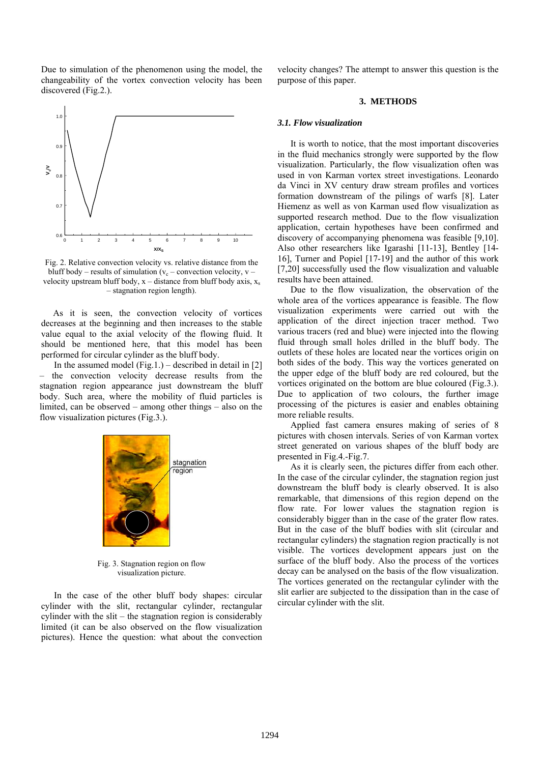Due to simulation of the phenomenon using the model, the changeability of the vortex convection velocity has been discovered (Fig.2.).



Fig. 2. Relative convection velocity vs. relative distance from the bluff body – results of simulation ( $v_c$  – convection velocity, v – velocity upstream bluff body,  $x -$  distance from bluff body axis,  $x_s$ – stagnation region length).

As it is seen, the convection velocity of vortices decreases at the beginning and then increases to the stable value equal to the axial velocity of the flowing fluid. It should be mentioned here, that this model has been performed for circular cylinder as the bluff body.

In the assumed model  $(Fig.1.)$  – described in detail in [2] – the convection velocity decrease results from the stagnation region appearance just downstream the bluff body. Such area, where the mobility of fluid particles is limited, can be observed – among other things – also on the flow visualization pictures (Fig.3.).



Fig. 3. Stagnation region on flow visualization picture.

In the case of the other bluff body shapes: circular cylinder with the slit, rectangular cylinder, rectangular cylinder with the slit – the stagnation region is considerably limited (it can be also observed on the flow visualization pictures). Hence the question: what about the convection velocity changes? The attempt to answer this question is the purpose of this paper.

### **3. METHODS**

## *3.1. Flow visualization*

It is worth to notice, that the most important discoveries in the fluid mechanics strongly were supported by the flow visualization. Particularly, the flow visualization often was used in von Karman vortex street investigations. Leonardo da Vinci in XV century draw stream profiles and vortices formation downstream of the pilings of warfs [8]. Later Hiemenz as well as von Karman used flow visualization as supported research method. Due to the flow visualization application, certain hypotheses have been confirmed and discovery of accompanying phenomena was feasible [9,10]. Also other researchers like Igarashi [11-13], Bentley [14- 16], Turner and Popiel [17-19] and the author of this work [7,20] successfully used the flow visualization and valuable results have been attained.

Due to the flow visualization, the observation of the whole area of the vortices appearance is feasible. The flow visualization experiments were carried out with the application of the direct injection tracer method. Two various tracers (red and blue) were injected into the flowing fluid through small holes drilled in the bluff body. The outlets of these holes are located near the vortices origin on both sides of the body. This way the vortices generated on the upper edge of the bluff body are red coloured, but the vortices originated on the bottom are blue coloured (Fig.3.). Due to application of two colours, the further image processing of the pictures is easier and enables obtaining more reliable results.

Applied fast camera ensures making of series of 8 pictures with chosen intervals. Series of von Karman vortex street generated on various shapes of the bluff body are presented in Fig.4.-Fig.7.

As it is clearly seen, the pictures differ from each other. In the case of the circular cylinder, the stagnation region just downstream the bluff body is clearly observed. It is also remarkable, that dimensions of this region depend on the flow rate. For lower values the stagnation region is considerably bigger than in the case of the grater flow rates. But in the case of the bluff bodies with slit (circular and rectangular cylinders) the stagnation region practically is not visible. The vortices development appears just on the surface of the bluff body. Also the process of the vortices decay can be analysed on the basis of the flow visualization. The vortices generated on the rectangular cylinder with the slit earlier are subjected to the dissipation than in the case of circular cylinder with the slit.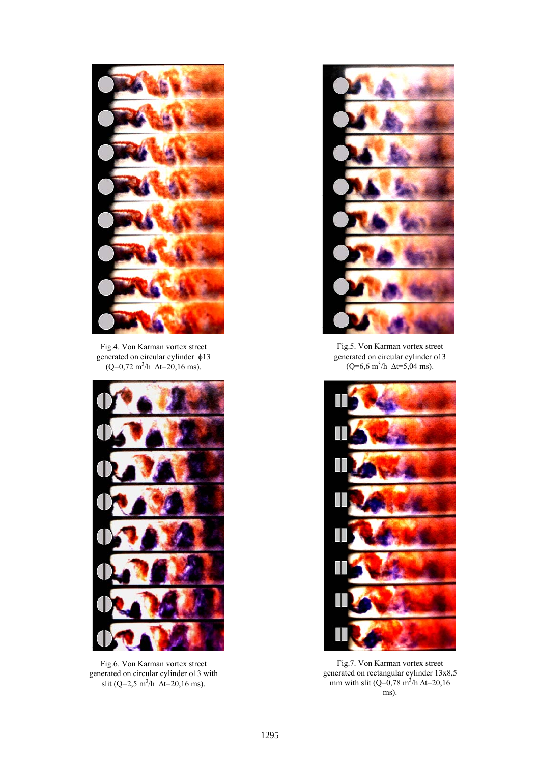

Fig.4. Von Karman vortex street generated on circular cylinder φ13  $(Q=0.72 \text{ m}^3/\text{h} \ \Delta t=20.16 \text{ ms}).$ 



Fig.6. Von Karman vortex street generated on circular cylinder φ13 with slit (Q=2,5 m<sup>3</sup>/h  $\Delta t$ =20,16 ms).



Fig.5. Von Karman vortex street generated on circular cylinder φ13  $(Q=6.6 \text{ m}^3/\text{h} \ \Delta t=5.04 \text{ ms}).$ 



Fig.7. Von Karman vortex street generated on rectangular cylinder 13x8,5 mm with slit (Q=0,78 m<sup>3</sup>/h  $\Delta t = 20,16$ ms).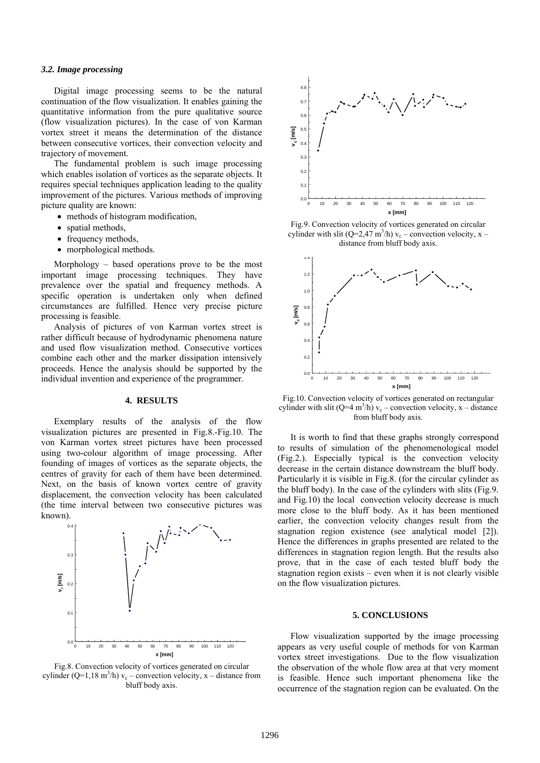#### *3.2. Image processing*

Digital image processing seems to be the natural continuation of the flow visualization. It enables gaining the quantitative information from the pure qualitative source (flow visualization pictures). In the case of von Karman vortex street it means the determination of the distance between consecutive vortices, their convection velocity and trajectory of movement.

The fundamental problem is such image processing which enables isolation of vortices as the separate objects. It requires special techniques application leading to the quality improvement of the pictures. Various methods of improving picture quality are known:

- methods of histogram modification,
- spatial methods,
- frequency methods,
- morphological methods.

Morphology – based operations prove to be the most important image processing techniques. They have prevalence over the spatial and frequency methods. A specific operation is undertaken only when defined circumstances are fulfilled. Hence very precise picture processing is feasible.

Analysis of pictures of von Karman vortex street is rather difficult because of hydrodynamic phenomena nature and used flow visualization method. Consecutive vortices combine each other and the marker dissipation intensively proceeds. Hence the analysis should be supported by the individual invention and experience of the programmer.

### **4. RESULTS**

Exemplary results of the analysis of the flow visualization pictures are presented in Fig.8.-Fig.10. The von Karman vortex street pictures have been processed using two-colour algorithm of image processing. After founding of images of vortices as the separate objects, the centres of gravity for each of them have been determined. Next, on the basis of known vortex centre of gravity displacement, the convection velocity has been calculated (the time interval between two consecutive pictures was known).



Fig.8. Convection velocity of vortices generated on circular cylinder (Q=1,18 m<sup>3</sup>/h)  $v_c$  – convection velocity, x – distance from bluff body axis.



Fig.9. Convection velocity of vortices generated on circular cylinder with slit (Q=2,47 m<sup>3</sup>/h)  $v_c$  – convection velocity, x – distance from bluff body axis.



Fig.10. Convection velocity of vortices generated on rectangular cylinder with slit (Q=4 m<sup>3</sup>/h)  $v_c$  – convection velocity, x – distance from bluff body axis.

It is worth to find that these graphs strongly correspond to results of simulation of the phenomenological model (Fig.2.). Especially typical is the convection velocity decrease in the certain distance downstream the bluff body. Particularly it is visible in Fig.8. (for the circular cylinder as the bluff body). In the case of the cylinders with slits (Fig.9. and Fig.10) the local convection velocity decrease is much more close to the bluff body. As it has been mentioned earlier, the convection velocity changes result from the stagnation region existence (see analytical model [2]). Hence the differences in graphs presented are related to the differences in stagnation region length. But the results also prove, that in the case of each tested bluff body the stagnation region exists – even when it is not clearly visible on the flow visualization pictures.

#### **5. CONCLUSIONS**

Flow visualization supported by the image processing appears as very useful couple of methods for von Karman vortex street investigations. Due to the flow visualization the observation of the whole flow area at that very moment is feasible. Hence such important phenomena like the occurrence of the stagnation region can be evaluated. On the